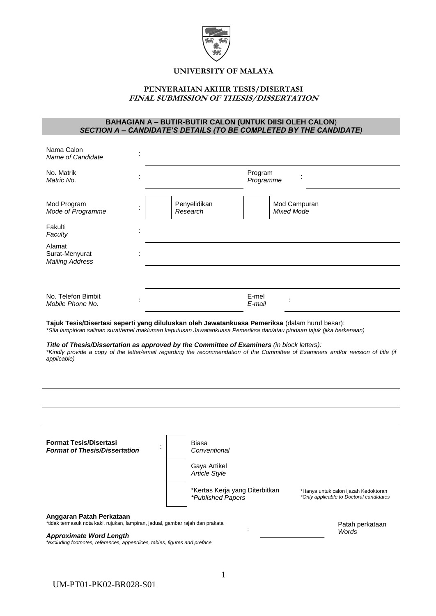

# **UNIVERSITY OF MALAYA**

# **PENYERAHAN AKHIR TESIS/DISERTASI FINAL SUBMISSION OF THESIS/DISSERTATION**

## **BAHAGIAN A – BUTIR-BUTIR CALON (UNTUK DIISI OLEH CALON**) *SECTION A – CANDIDATE'S DETAILS (TO BE COMPLETED BY THE CANDIDATE)*

| Nama Calon<br>Name of Candidate                                                                                                                                                                                        |                          |                      |                                                                                                                                    |
|------------------------------------------------------------------------------------------------------------------------------------------------------------------------------------------------------------------------|--------------------------|----------------------|------------------------------------------------------------------------------------------------------------------------------------|
| No. Matrik<br>Matric No.                                                                                                                                                                                               |                          | Program<br>Programme |                                                                                                                                    |
| Mod Program<br>Mode of Programme<br>Fakulti<br>Faculty                                                                                                                                                                 | Penyelidikan<br>Research |                      | Mod Campuran<br><b>Mixed Mode</b>                                                                                                  |
| Alamat<br>Surat-Menyurat<br><b>Mailing Address</b>                                                                                                                                                                     |                          |                      |                                                                                                                                    |
|                                                                                                                                                                                                                        |                          |                      |                                                                                                                                    |
| No. Telefon Bimbit<br>Mobile Phone No.                                                                                                                                                                                 |                          | E-mel<br>E-mail      |                                                                                                                                    |
| Tajuk Tesis/Disertasi seperti yang diluluskan oleh Jawatankuasa Pemeriksa (dalam huruf besar):<br>*Sila lampirkan salinan surat/emel makluman keputusan Jawatankuasa Pemeriksa dan/atau pindaan tajuk (jika berkenaan) |                          |                      |                                                                                                                                    |
| Title of Thesis/Dissertation as approved by the Committee of Examiners (in block letters):<br>applicable)                                                                                                              |                          |                      | *Kindly provide a copy of the letter/email regarding the recommendation of the Committee of Examiners and/or revision of title (if |
|                                                                                                                                                                                                                        |                          |                      |                                                                                                                                    |
|                                                                                                                                                                                                                        |                          |                      |                                                                                                                                    |

| <b>Format Tesis/Disertasi</b><br><b>Format of Thesis/Dissertation</b>                                       | Biasa<br>Conventional                                      |                                                                                 |
|-------------------------------------------------------------------------------------------------------------|------------------------------------------------------------|---------------------------------------------------------------------------------|
|                                                                                                             | Gaya Artikel<br><b>Article Style</b>                       |                                                                                 |
|                                                                                                             | *Kertas Kerja yang Diterbitkan<br><i>*Published Papers</i> | *Hanya untuk calon ijazah Kedoktoran<br>*Only applicable to Doctoral candidates |
| Anggaran Patah Perkataan<br>*tidak termasuk nota kaki, rujukan, lampiran, jadual, gambar rajah dan prakata  |                                                            | Patah perkataan                                                                 |
| <b>Approximate Word Length</b><br>*excluding footnotes, references, appendices, tables, figures and preface |                                                            | Words                                                                           |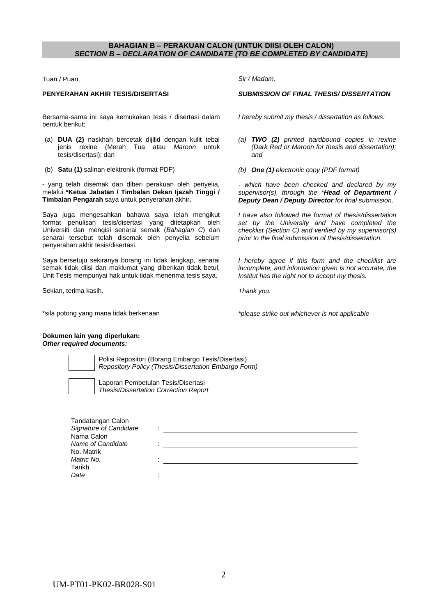## **BAHAGIAN B – PERAKUAN CALON (UNTUK DIISI OLEH CALON)** *SECTION B – DECLARATION OF CANDIDATE (TO BE COMPLETED BY CANDIDATE)*

Tuan / Puan,

### **PENYERAHAN AKHIR TESIS/DISERTASI**

Bersama-sama ini saya kemukakan tesis / disertasi dalam bentuk berikut:

- (a) **DUA (2)** naskhah bercetak dijilid dengan kulit tebal jenis rexine (Merah Tua atau *Maroon* untuk tesis/disertasi); dan
- (b) **Satu (1)** salinan elektronik (format PDF)

- yang telah disemak dan diberi perakuan oleh penyelia, melalui **\*Ketua Jabatan / Timbalan Dekan Ijazah Tinggi / Timbalan Pengarah** saya untuk penyerahan akhir.

Saya juga mengesahkan bahawa saya telah mengikut format penulisan tesis/disertasi yang ditetapkan oleh Universiti dan mengisi senarai semak (*Bahagian C*) dan senarai tersebut telah disemak oleh penyelia sebelum penyerahan akhir tesis/disertasi.

Saya bersetuju sekiranya borang ini tidak lengkap, senarai semak tidak diisi dan maklumat yang diberikan tidak betul, Unit Tesis mempunyai hak untuk tidak menerima tesis saya.

Sekian, terima kasih.

\*sila potong yang mana tidak berkenaan

*Sir / Madam,*

### *SUBMISSION OF FINAL THESIS/ DISSERTATION*

*I hereby submit my thesis / dissertation as follows:*

- *(a) TWO (2) printed hardbound copies in rexine (Dark Red or Maroon for thesis and dissertation); and*
- *(b) One (1) electronic copy (PDF format)*

*- which have been checked and declared by my supervisor(s), through the \*Head of Department / Deputy Dean / Deputy Director for final submission.* 

*I have also followed the format of thesis/dissertation set by the University and have completed the checklist (Section C) and verified by my supervisor(s) prior to the final submission of thesis/dissertation.*

*I hereby agree if this form and the checklist are incomplete, and information given is not accurate, the Institut has the right not to accept my thesis.*

*Thank you.*

*\*please strike out whichever is not applicable*

#### **Dokumen lain yang diperlukan:**  *Other required documents:*

Polisi Repositori (Borang Embargo Tesis/Disertasi) *Repository Policy (Thesis/Dissertation Embargo Form)*

poran Pembetulan Tesis/Disertasi *Thesis/Dissertation Correction Report*

| Tandatangan Calon<br>Signature of Candidate |  |
|---------------------------------------------|--|
| Nama Calon                                  |  |
| Name of Candidate                           |  |
| No. Matrik                                  |  |
| Matric No.                                  |  |
| Tarikh                                      |  |
| Date                                        |  |
|                                             |  |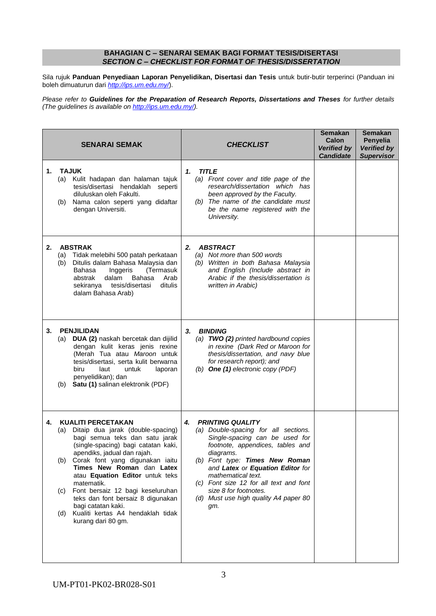## **BAHAGIAN C – SENARAI SEMAK BAGI FORMAT TESIS/DISERTASI** *SECTION C – CHECKLIST FOR FORMAT OF THESIS/DISSERTATION*

Sila rujuk **Panduan Penyediaan Laporan Penyelidikan, Disertasi dan Tesis** untuk butir-butir terperinci (Panduan ini boleh dimuaturun dari *<http://ips.um.edu.my/>*).

*Please refer to Guidelines for the Preparation of Research Reports, Dissertations and Theses for further details (The guidelines is available on [http://ips.um.edu.my/\)](http://ips.um.edu.my/).* 

| <b>SENARAI SEMAK</b>                                                                                                                                                                                                                                                                                                                                                                                                                                                                | <b>CHECKLIST</b>                                                                                                                                                                                                                                                                                                                                                        | <b>Semakan</b><br><b>Calon</b><br><b>Verified by</b><br><b>Candidate</b> | <b>Semakan</b><br>Penyelia<br><b>Verified by</b><br><b>Supervisor</b> |
|-------------------------------------------------------------------------------------------------------------------------------------------------------------------------------------------------------------------------------------------------------------------------------------------------------------------------------------------------------------------------------------------------------------------------------------------------------------------------------------|-------------------------------------------------------------------------------------------------------------------------------------------------------------------------------------------------------------------------------------------------------------------------------------------------------------------------------------------------------------------------|--------------------------------------------------------------------------|-----------------------------------------------------------------------|
| <b>TAJUK</b><br>1.<br>(a) Kulit hadapan dan halaman tajuk<br>tesis/disertasi hendaklah seperti<br>diluluskan oleh Fakulti.<br>Nama calon seperti yang didaftar<br>(b)<br>dengan Universiti.                                                                                                                                                                                                                                                                                         | <b>TITLE</b><br>1.<br>(a) Front cover and title page of the<br>research/dissertation which has<br>been approved by the Faculty.<br>(b) The name of the candidate must<br>be the name registered with the<br>University.                                                                                                                                                 |                                                                          |                                                                       |
| <b>ABSTRAK</b><br>2.<br>Tidak melebihi 500 patah perkataan<br>(a)<br>Ditulis dalam Bahasa Malaysia dan<br>(b)<br>Bahasa<br>Inggeris<br>(Termasuk<br>abstrak<br>dalam<br>Arab<br>Bahasa<br>sekiranya tesis/disertasi<br>ditulis<br>dalam Bahasa Arab)                                                                                                                                                                                                                                | <b>ABSTRACT</b><br>2.<br>(a) Not more than 500 words<br>(b) Written in both Bahasa Malaysia<br>and English (Include abstract in<br>Arabic if the thesis/dissertation is<br>written in Arabic)                                                                                                                                                                           |                                                                          |                                                                       |
| 3.<br><b>PENJILIDAN</b><br>(a) DUA (2) naskah bercetak dan dijilid<br>dengan kulit keras jenis rexine<br>(Merah Tua atau Maroon untuk<br>tesis/disertasi, serta kulit berwarna<br>biru<br>laut<br>untuk<br>laporan<br>penyelidikan); dan<br>Satu (1) salinan elektronik (PDF)<br>(b)                                                                                                                                                                                                | 3.<br><b>BINDING</b><br>(a) TWO (2) printed hardbound copies<br>in rexine (Dark Red or Maroon for<br>thesis/dissertation, and navy blue<br>for research report); and<br>(b) One (1) electronic copy (PDF)                                                                                                                                                               |                                                                          |                                                                       |
| <b>KUALITI PERCETAKAN</b><br>4.<br>Ditaip dua jarak (double-spacing)<br>(a)<br>bagi semua teks dan satu jarak<br>(single-spacing) bagi catatan kaki,<br>apendiks, jadual dan rajah.<br>Corak font yang digunakan iaitu<br>(b)<br>Times New Roman dan Latex<br>atau Equation Editor untuk teks<br>matematik.<br>Font bersaiz 12 bagi keseluruhan<br>(C)<br>teks dan font bersaiz 8 digunakan<br>bagi catatan kaki.<br>Kualiti kertas A4 hendaklah tidak<br>(d)<br>kurang dari 80 gm. | <b>PRINTING QUALITY</b><br>4.<br>(a) Double-spacing for all sections.<br>Single-spacing can be used for<br>footnote, appendices, tables and<br>diagrams.<br>(b) Font type: Times New Roman<br>and Latex or Equation Editor for<br>mathematical text.<br>(c) Font size 12 for all text and font<br>size 8 for footnotes.<br>(d) Must use high quality A4 paper 80<br>gт. |                                                                          |                                                                       |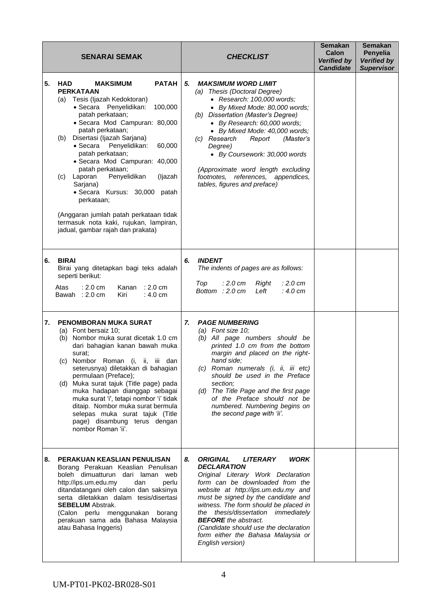| <b>SENARAI SEMAK</b>                                                                                                                                                                                                                                                                                                                                                                                                                                                                                                                                                                                          | <b>CHECKLIST</b>                                                                                                                                                                                                                                                                                                                                                                                                                                       | <b>Semakan</b><br>Calon<br><b>Verified by</b><br><b>Candidate</b> | <b>Semakan</b><br>Penyelia<br><b>Verified by</b><br><b>Supervisor</b> |
|---------------------------------------------------------------------------------------------------------------------------------------------------------------------------------------------------------------------------------------------------------------------------------------------------------------------------------------------------------------------------------------------------------------------------------------------------------------------------------------------------------------------------------------------------------------------------------------------------------------|--------------------------------------------------------------------------------------------------------------------------------------------------------------------------------------------------------------------------------------------------------------------------------------------------------------------------------------------------------------------------------------------------------------------------------------------------------|-------------------------------------------------------------------|-----------------------------------------------------------------------|
| <b>PATAH</b><br>5.<br>HAD<br><b>MAKSIMUM</b><br><b>PERKATAAN</b><br>(a) Tesis (Ijazah Kedoktoran)<br>· Secara Penyelidikan:<br>100,000<br>patah perkataan;<br>· Secara Mod Campuran: 80,000<br>patah perkataan;<br>Disertasi (Ijazah Sarjana)<br>(b)<br>$\bullet$ Secara<br>Penyelidikan:<br>60,000<br>patah perkataan;<br>· Secara Mod Campuran: 40,000<br>patah perkataan;<br>Laporan<br>Penyelidikan<br>(ljazah<br>(C)<br>Sarjana)<br>• Secara Kursus: 30,000 patah<br>perkataan;<br>(Anggaran jumlah patah perkataan tidak<br>termasuk nota kaki, rujukan, lampiran,<br>jadual, gambar rajah dan prakata) | 5.<br><b>MAKSIMUM WORD LIMIT</b><br>(a) Thesis (Doctoral Degree)<br>• Research: 100,000 words;<br>• By Mixed Mode: 80,000 words;<br>(b) Dissertation (Master's Degree)<br>• By Research: 60,000 words;<br>• By Mixed Mode: 40,000 words;<br>(c) Research<br>Report<br>(Master's<br>Degree)<br>• By Coursework: 30,000 words<br>(Approximate word length excluding<br>footnotes, references, appendices,<br>tables, figures and preface)                |                                                                   |                                                                       |
| <b>BIRAI</b><br>6.<br>Birai yang ditetapkan bagi teks adalah<br>seperti berikut:<br>Atas<br>$: 2.0 \text{ cm}$<br>Kanan<br>$: 2.0 \text{ cm}$<br>Bawah : 2.0 cm<br>Kiri<br>$: 4.0 \text{ cm}$                                                                                                                                                                                                                                                                                                                                                                                                                 | <b>INDENT</b><br>6.<br>The indents of pages are as follows:<br>Top<br>:2.0cm<br>Right<br>: 2.0 cm<br>Bottom : 2.0 cm<br>Left<br>$: 4.0 \text{ cm}$                                                                                                                                                                                                                                                                                                     |                                                                   |                                                                       |
| <b>PENOMBORAN MUKA SURAT</b><br>7.<br>(a) Font bersaiz 10;<br>(b) Nombor muka surat dicetak 1.0 cm<br>dari bahagian kanan bawah muka<br>surat;<br>(c) Nombor Roman (i, ii, iii dan<br>seterusnya) diletakkan di bahagian<br>permulaan (Preface);<br>(d) Muka surat tajuk (Title page) pada<br>muka hadapan dianggap sebagai<br>muka surat 'i', tetapi nombor 'i' tidak<br>ditaip. Nombor muka surat bermula<br>selepas muka surat tajuk (Title<br>page) disambung terus dengan<br>nombor Roman 'ii'.                                                                                                          | <b>PAGE NUMBERING</b><br>7.<br>(a) Font size $10$ ;<br>(b) All page numbers should be<br>printed 1.0 cm from the bottom<br>margin and placed on the right-<br>hand side;<br>(c) Roman numerals (i, ii, iii etc)<br>should be used in the Preface<br>section:<br>(d) The Title Page and the first page<br>of the Preface should not be<br>numbered. Numbering begins on<br>the second page with 'ii'.                                                   |                                                                   |                                                                       |
| 8.<br>PERAKUAN KEASLIAN PENULISAN<br>Borang Perakuan Keaslian Penulisan<br>boleh dimuatturun dari laman web<br>http://ips.um.edu.my<br>dan<br>perlu<br>ditandatangani oleh calon dan saksinya<br>serta diletakkan dalam tesis/disertasi<br><b>SEBELUM</b> Abstrak.<br>(Calon perlu menggunakan borang<br>perakuan sama ada Bahasa Malaysia<br>atau Bahasa Inggeris)                                                                                                                                                                                                                                           | <b>WORK</b><br>8.<br><b>ORIGINAL</b><br><b>LITERARY</b><br><b>DECLARATION</b><br>Original Literary Work Declaration<br>form can be downloaded from the<br>website at http://ips.um.edu.my and<br>must be signed by the candidate and<br>witness. The form should be placed in<br>the thesis/dissertation immediately<br><b>BEFORE</b> the abstract.<br>(Candidate should use the declaration<br>form either the Bahasa Malaysia or<br>English version) |                                                                   |                                                                       |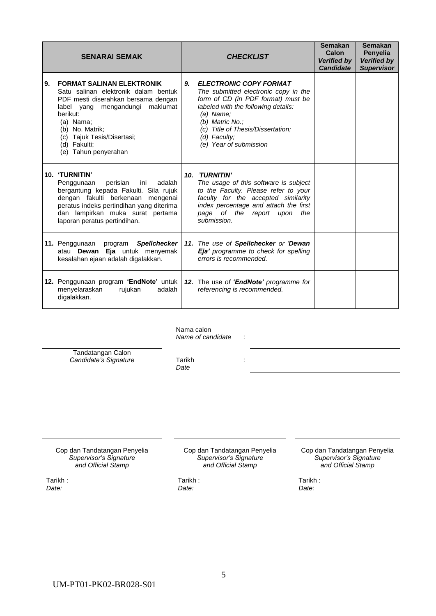|    | <b>SENARAI SEMAK</b>                                                                                                                                                                                                                                                    |    | <b>CHECKLIST</b>                                                                                                                                                                                                                                                    | <b>Semakan</b><br>Calon<br><b>Verified by</b><br><b>Candidate</b> | <b>Semakan</b><br>Penyelia<br><b>Verified by</b><br><b>Supervisor</b> |
|----|-------------------------------------------------------------------------------------------------------------------------------------------------------------------------------------------------------------------------------------------------------------------------|----|---------------------------------------------------------------------------------------------------------------------------------------------------------------------------------------------------------------------------------------------------------------------|-------------------------------------------------------------------|-----------------------------------------------------------------------|
| 9. | <b>FORMAT SALINAN ELEKTRONIK</b><br>Satu salinan elektronik dalam bentuk<br>PDF mesti diserahkan bersama dengan<br>maklumat<br>label yang mengandungi<br>berikut:<br>(a) Nama;<br>(b) No. Matrik;<br>(c) Tajuk Tesis/Disertasi;<br>(d) Fakulti;<br>(e) Tahun penyerahan | 9. | <b>ELECTRONIC COPY FORMAT</b><br>The submitted electronic copy in the<br>form of CD (in PDF format) must be<br>labeled with the following details:<br>$(a)$ Name;<br>(b) Matric No.;<br>(c) Title of Thesis/Dissertation;<br>(d) Faculty;<br>(e) Year of submission |                                                                   |                                                                       |
|    | 10. 'TURNITIN'<br>perisian<br>Penggunaan<br>ini<br>adalah<br>bergantung kepada Fakulti. Sila rujuk<br>dengan fakulti berkenaan mengenai<br>peratus indeks pertindihan yang diterima<br>dan lampirkan muka surat pertama<br>laporan peratus pertindihan.                 |    | 10. 'TURNITIN'<br>The usage of this software is subject<br>to the Faculty. Please refer to your<br>faculty for the accepted similarity<br>index percentage and attach the first<br>page of the report upon<br>the<br>submission.                                    |                                                                   |                                                                       |
|    | 11. Penggunaan<br><b>Spellchecker</b><br>program<br>atau Dewan Eja untuk menyemak<br>kesalahan ejaan adalah digalakkan.                                                                                                                                                 |    | 11. The use of Spellchecker or 'Dewan<br>Eja' programme to check for spelling<br>errors is recommended.                                                                                                                                                             |                                                                   |                                                                       |
|    | 12. Penggunaan program 'EndNote' untuk  <br>menyelaraskan<br>rujukan<br>adalah<br>digalakkan.                                                                                                                                                                           |    | 12. The use of 'EndNote' programme for<br>referencing is recommended.                                                                                                                                                                                               |                                                                   |                                                                       |

Nama calon *Name of candidate* :

Tandatangan Calon *Candidate's Signature* Tarikh

*Date*

Cop dan Tandatangan Penyelia *Supervisor's Signature and Official Stamp*

Tarikh : *Date:*

Cop dan Tandatangan Penyelia *Supervisor's Signature and Official Stamp*

:

Cop dan Tandatangan Penyelia *Supervisor's Signature and Official Stamp*

Tarikh : *Date:*

Tarikh : *Date:*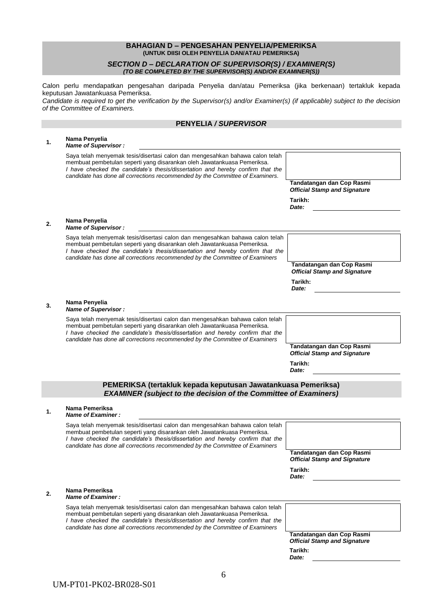### **BAHAGIAN D – PENGESAHAN PENYELIA/PEMERIKSA (UNTUK DIISI OLEH PENYELIA DAN/ATAU PEMERIKSA)**

### *SECTION D – DECLARATION OF SUPERVISOR(S) / EXAMINER(S) (TO BE COMPLETED BY THE SUPERVISOR(S) AND/OR EXAMINER(S))*

Calon perlu mendapatkan pengesahan daripada Penyelia dan/atau Pemeriksa (jika berkenaan) tertakluk kepada keputusan Jawatankuasa Pemeriksa.

*Candidate is required to get the verification by the Supervisor(s) and/or Examiner(s) (if applicable) subject to the decision of the Committee of Examiners.*

# **PENYELIA** */ SUPERVISOR*

| 1.             | Nama Penyelia<br>Name of Supervisor:                                                                                                                                                                                                                                                                                       |                                                                  |
|----------------|----------------------------------------------------------------------------------------------------------------------------------------------------------------------------------------------------------------------------------------------------------------------------------------------------------------------------|------------------------------------------------------------------|
|                | Saya telah menyemak tesis/disertasi calon dan mengesahkan bahawa calon telah<br>membuat pembetulan seperti yang disarankan oleh Jawatankuasa Pemeriksa.<br>I have checked the candidate's thesis/dissertation and hereby confirm that the<br>candidate has done all corrections recommended by the Committee of Examiners. |                                                                  |
|                |                                                                                                                                                                                                                                                                                                                            | Tandatangan dan Cop Rasmi<br><b>Official Stamp and Signature</b> |
|                |                                                                                                                                                                                                                                                                                                                            | Tarikh:<br>Date:                                                 |
| 2.             | Nama Penyelia<br>Name of Supervisor:                                                                                                                                                                                                                                                                                       |                                                                  |
|                | Saya telah menyemak tesis/disertasi calon dan mengesahkan bahawa calon telah<br>membuat pembetulan seperti yang disarankan oleh Jawatankuasa Pemeriksa.<br>I have checked the candidate's thesis/dissertation and hereby confirm that the<br>candidate has done all corrections recommended by the Committee of Examiners  |                                                                  |
|                |                                                                                                                                                                                                                                                                                                                            | Tandatangan dan Cop Rasmi<br><b>Official Stamp and Signature</b> |
|                |                                                                                                                                                                                                                                                                                                                            | Tarikh:<br>Date:                                                 |
| 3.             | Nama Penyelia<br>Name of Supervisor:                                                                                                                                                                                                                                                                                       |                                                                  |
|                | Saya telah menyemak tesis/disertasi calon dan mengesahkan bahawa calon telah<br>membuat pembetulan seperti yang disarankan oleh Jawatankuasa Pemeriksa.<br>I have checked the candidate's thesis/dissertation and hereby confirm that the<br>candidate has done all corrections recommended by the Committee of Examiners  |                                                                  |
|                |                                                                                                                                                                                                                                                                                                                            | Tandatangan dan Cop Rasmi<br><b>Official Stamp and Signature</b> |
|                |                                                                                                                                                                                                                                                                                                                            |                                                                  |
|                |                                                                                                                                                                                                                                                                                                                            | Tarikh:<br>Date:                                                 |
|                | PEMERIKSA (tertakluk kepada keputusan Jawatankuasa Pemeriksa)<br><b>EXAMINER (subject to the decision of the Committee of Examiners)</b>                                                                                                                                                                                   |                                                                  |
| $\mathbf{1}$ . | Nama Pemeriksa<br>Name of Examiner:                                                                                                                                                                                                                                                                                        |                                                                  |
|                | Saya telah menyemak tesis/disertasi calon dan mengesahkan bahawa calon telah<br>membuat pembetulan seperti yang disarankan oleh Jawatankuasa Pemeriksa.<br>I have checked the candidate's thesis/dissertation and hereby confirm that the                                                                                  |                                                                  |
|                | candidate has done all corrections recommended by the Committee of Examiners                                                                                                                                                                                                                                               | Tandatangan dan Cop Rasmi<br><b>Official Stamp and Signature</b> |
|                |                                                                                                                                                                                                                                                                                                                            | Tarikh:<br>Date:                                                 |
| 2.             | Nama Pemeriksa<br>Name of Examiner:                                                                                                                                                                                                                                                                                        |                                                                  |
|                | Saya telah menyemak tesis/disertasi calon dan mengesahkan bahawa calon telah<br>membuat pembetulan seperti yang disarankan oleh Jawatankuasa Pemeriksa.<br>I have checked the candidate's thesis/dissertation and hereby confirm that the<br>candidate has done all corrections recommended by the Committee of Examiners  |                                                                  |
|                |                                                                                                                                                                                                                                                                                                                            | Tandatangan dan Cop Rasmi<br><b>Official Stamp and Signature</b> |
|                |                                                                                                                                                                                                                                                                                                                            | Tarikh:<br>Date:                                                 |